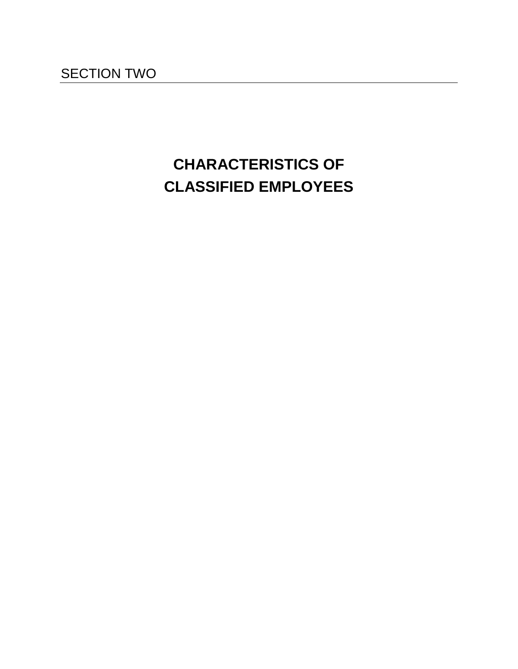# **CHARACTERISTICS OF CLASSIFIED EMPLOYEES**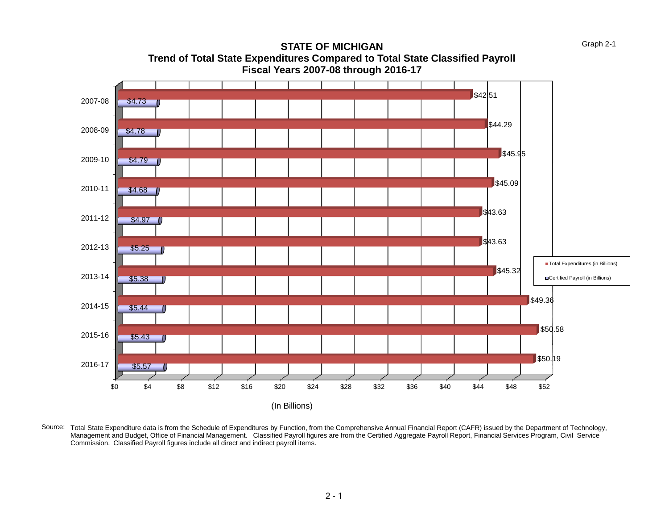

**STATE OF MICHIGAN Trend of Total State Expenditures Compared to Total State Classified Payroll Fiscal Years 2007-08 through 2016-17**

Source: Total State Expenditure data is from the Schedule of Expenditures by Function, from the Comprehensive Annual Financial Report (CAFR) issued by the Department of Technology, Management and Budget, Office of Financial Management. Classified Payroll figures are from the Certified Aggregate Payroll Report, Financial Services Program, Civil Service Commission. Classified Payroll figures include all direct and indirect payroll items.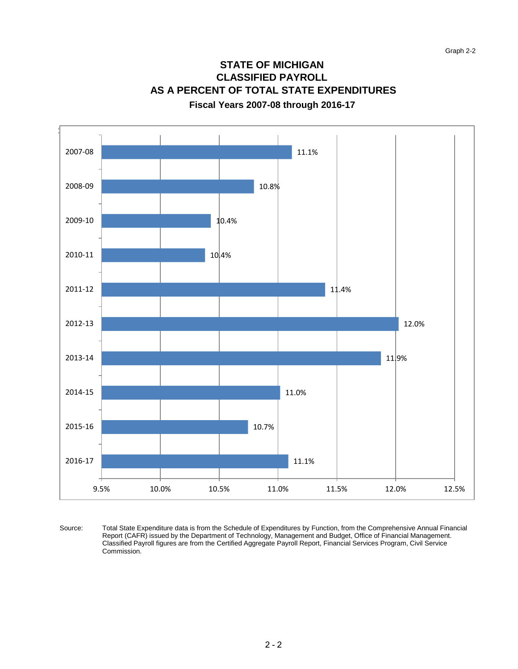# **STATE OF MICHIGAN CLASSIFIED PAYROLL AS A PERCENT OF TOTAL STATE EXPENDITURES**

#### **Fiscal Years 2007-08 through 2016-17**



Total State Expenditure data is from the Schedule of Expenditures by Function, from the Comprehensive Annual Financial Report (CAFR) issued by the Department of Technology, Management and Budget, Office of Financial Management. Classified Payroll figures are from the Certified Aggregate Payroll Report, Financial Services Program, Civil Service Commission. Source: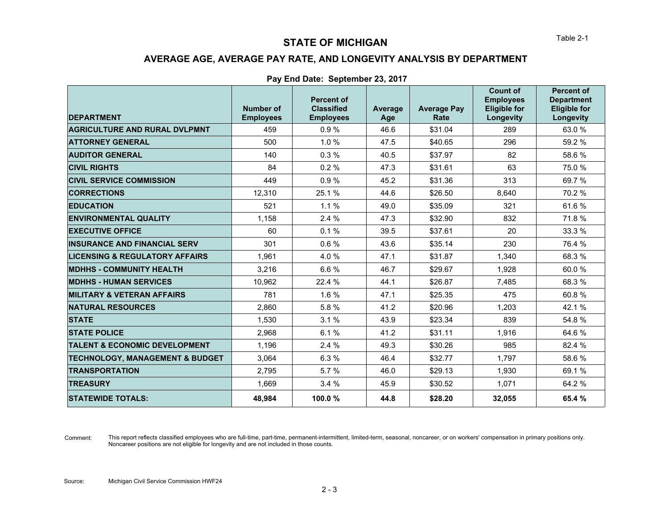## **AVERAGE AGE, AVERAGE PAY RATE, AND LONGEVITY ANALYSIS BY DEPARTMENT**

#### **Pay End Date: September 23, 2017**

| <b>DEPARTMENT</b>                          | Number of<br><b>Employees</b> | <b>Percent of</b><br><b>Classified</b><br><b>Employees</b> | <b>Average</b><br>Age | <b>Average Pay</b><br>Rate | <b>Count of</b><br><b>Employees</b><br><b>Eligible for</b><br>Longevity | <b>Percent of</b><br><b>Department</b><br><b>Eligible for</b><br>Longevity |
|--------------------------------------------|-------------------------------|------------------------------------------------------------|-----------------------|----------------------------|-------------------------------------------------------------------------|----------------------------------------------------------------------------|
| <b>AGRICULTURE AND RURAL DVLPMNT</b>       | 459                           | 0.9%                                                       | 46.6                  | \$31.04                    | 289                                                                     | 63.0 %                                                                     |
| <b>ATTORNEY GENERAL</b>                    | 500                           | 1.0%                                                       | 47.5                  | \$40.65                    | 296                                                                     | 59.2 %                                                                     |
| <b>AUDITOR GENERAL</b>                     | 140                           | 0.3%                                                       | 40.5                  | \$37.97                    | 82                                                                      | 58.6%                                                                      |
| <b>CIVIL RIGHTS</b>                        | 84                            | 0.2%                                                       | 47.3                  | \$31.61                    | 63                                                                      | 75.0 %                                                                     |
| <b>CIVIL SERVICE COMMISSION</b>            | 449                           | 0.9%                                                       | 45.2                  | \$31.36                    | 313                                                                     | 69.7%                                                                      |
| <b>CORRECTIONS</b>                         | 12,310                        | 25.1%                                                      | 44.6                  | \$26.50                    | 8,640                                                                   | 70.2 %                                                                     |
| <b>EDUCATION</b>                           | 521                           | 1.1%                                                       | 49.0                  | \$35.09                    | 321                                                                     | 61.6%                                                                      |
| <b>ENVIRONMENTAL QUALITY</b>               | 1,158                         | 2.4%                                                       | 47.3                  | \$32.90                    | 832                                                                     | 71.8 %                                                                     |
| <b>EXECUTIVE OFFICE</b>                    | 60                            | 0.1%                                                       | 39.5                  | \$37.61                    | 20                                                                      | 33.3 %                                                                     |
| <b>INSURANCE AND FINANCIAL SERV</b>        | 301                           | 0.6%                                                       | 43.6                  | \$35.14                    | 230                                                                     | 76.4 %                                                                     |
| <b>LICENSING &amp; REGULATORY AFFAIRS</b>  | 1,961                         | 4.0%                                                       | 47.1                  | \$31.87                    | 1,340                                                                   | 68.3 %                                                                     |
| <b>MDHHS - COMMUNITY HEALTH</b>            | 3,216                         | 6.6%                                                       | 46.7                  | \$29.67                    | 1,928                                                                   | 60.0%                                                                      |
| <b>MDHHS - HUMAN SERVICES</b>              | 10.962                        | 22.4 %                                                     | 44.1                  | \$26.87                    | 7,485                                                                   | 68.3 %                                                                     |
| <b>MILITARY &amp; VETERAN AFFAIRS</b>      | 781                           | 1.6%                                                       | 47.1                  | \$25.35                    | 475                                                                     | 60.8%                                                                      |
| <b>NATURAL RESOURCES</b>                   | 2.860                         | 5.8%                                                       | 41.2                  | \$20.96                    | 1,203                                                                   | 42.1 %                                                                     |
| <b>STATE</b>                               | 1.530                         | 3.1%                                                       | 43.9                  | \$23.34                    | 839                                                                     | 54.8%                                                                      |
| <b>STATE POLICE</b>                        | 2,968                         | 6.1%                                                       | 41.2                  | \$31.11                    | 1,916                                                                   | 64.6%                                                                      |
| <b>TALENT &amp; ECONOMIC DEVELOPMENT</b>   | 1,196                         | 2.4 %                                                      | 49.3                  | \$30.26                    | 985                                                                     | 82.4 %                                                                     |
| <b>TECHNOLOGY, MANAGEMENT &amp; BUDGET</b> | 3,064                         | 6.3%                                                       | 46.4                  | \$32.77                    | 1.797                                                                   | 58.6%                                                                      |
| <b>TRANSPORTATION</b>                      | 2.795                         | 5.7%                                                       | 46.0                  | \$29.13                    | 1,930                                                                   | 69.1 %                                                                     |
| <b>TREASURY</b>                            | 1,669                         | 3.4%                                                       | 45.9                  | \$30.52                    | 1,071                                                                   | 64.2 %                                                                     |
| <b>STATEWIDE TOTALS:</b>                   | 48.984                        | 100.0%                                                     | 44.8                  | \$28.20                    | 32,055                                                                  | 65.4 %                                                                     |

Comment: This report reflects classified employees who are full-time, part-time, permanent-intermittent, limited-term, seasonal, noncareer, or on workers' compensation in primary positions only. Noncareer positions are not eligible for longevity and are not included in those counts.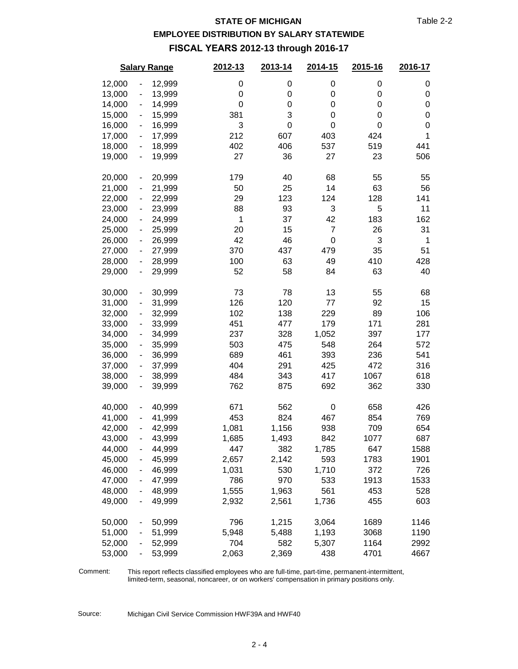### **EMPLOYEE DISTRIBUTION BY SALARY STATEWIDE**

**FISCAL YEARS 2012-13 through 2016-17**

|        |                              | <b>Salary Range</b> | 2012-13     | 2013-14 | 2014-15        | 2015-16          | 2016-17          |
|--------|------------------------------|---------------------|-------------|---------|----------------|------------------|------------------|
| 12,000 |                              | 12,999              | 0           | 0       | 0              | 0                | 0                |
| 13,000 | -                            | 13,999              | $\mathbf 0$ | 0       | 0              | 0                | $\mathbf 0$      |
| 14,000 | $\overline{\phantom{0}}$     | 14,999              | $\mathbf 0$ | 0       | 0              | 0                | $\mathbf 0$      |
| 15,000 | ۰                            | 15,999              | 381         | 3       | 0              | $\boldsymbol{0}$ | $\mathbf 0$      |
| 16,000 | $\overline{\phantom{0}}$     | 16,999              | 3           | 0       | 0              | $\mathbf 0$      | $\boldsymbol{0}$ |
| 17,000 | $\overline{\phantom{0}}$     | 17,999              | 212         | 607     | 403            | 424              | 1                |
| 18,000 | $\overline{\phantom{0}}$     | 18,999              | 402         | 406     | 537            | 519              | 441              |
| 19,000 | $\overline{\phantom{0}}$     | 19,999              | 27          | 36      | 27             | 23               | 506              |
| 20,000 | $\overline{\phantom{0}}$     | 20,999              | 179         | 40      | 68             | 55               | 55               |
| 21,000 | $\overline{\phantom{0}}$     | 21,999              | 50          | 25      | 14             | 63               | 56               |
| 22,000 | -                            | 22,999              | 29          | 123     | 124            | 128              | 141              |
| 23,000 | -                            | 23,999              | 88          | 93      | 3              | 5                | 11               |
| 24,000 | -                            | 24,999              | 1           | 37      | 42             | 183              | 162              |
| 25,000 | $\overline{\phantom{0}}$     | 25,999              | 20          | 15      | $\overline{7}$ | 26               | 31               |
| 26,000 | $\overline{\phantom{0}}$     | 26,999              | 42          | 46      | 0              | 3                | 1                |
| 27,000 | -                            | 27,999              | 370         | 437     | 479            | 35               | 51               |
| 28,000 | -                            | 28,999              | 100         | 63      | 49             | 410              | 428              |
| 29,000 | -                            | 29,999              | 52          | 58      | 84             | 63               | 40               |
| 30,000 | $\overline{\phantom{0}}$     | 30,999              | 73          | 78      | 13             | 55               | 68               |
| 31,000 | $\blacksquare$               | 31,999              | 126         | 120     | 77             | 92               | 15               |
| 32,000 | $\overline{\phantom{0}}$     | 32,999              | 102         | 138     | 229            | 89               | 106              |
| 33,000 | $\overline{\phantom{0}}$     | 33,999              | 451         | 477     | 179            | 171              | 281              |
| 34,000 | $\overline{\phantom{0}}$     | 34,999              | 237         | 328     | 1,052          | 397              | 177              |
| 35,000 | $\overline{\phantom{0}}$     | 35,999              | 503         | 475     | 548            | 264              | 572              |
| 36,000 | $\overline{\phantom{0}}$     | 36,999              | 689         | 461     | 393            | 236              | 541              |
| 37,000 | -                            | 37,999              | 404         | 291     | 425            | 472              | 316              |
| 38,000 | -                            | 38,999              | 484         | 343     | 417            | 1067             | 618              |
| 39,000 | -                            | 39,999              | 762         | 875     | 692            | 362              | 330              |
| 40,000 | $\qquad \qquad \blacksquare$ | 40,999              | 671         | 562     | 0              | 658              | 426              |
| 41,000 | $\overline{\phantom{0}}$     | 41,999              | 453         | 824     | 467            | 854              | 769              |
| 42,000 |                              | 42,999              | 1,081       | 1,156   | 938            | 709              | 654              |
| 43,000 |                              | 43,999              | 1,685       | 1,493   | 842            | 1077             | 687              |
| 44,000 | ۰                            | 44,999              | 447         | 382     | 1,785          | 647              | 1588             |
| 45,000 | $\overline{\phantom{0}}$     | 45,999              | 2,657       | 2,142   | 593            | 1783             | 1901             |
| 46,000 | -                            | 46,999              | 1,031       | 530     | 1,710          | 372              | 726              |
| 47,000 | $\overline{\phantom{0}}$     | 47,999              | 786         | 970     | 533            | 1913             | 1533             |
| 48,000 | $\overline{\phantom{0}}$     | 48,999              | 1,555       | 1,963   | 561            | 453              | 528              |
| 49,000 |                              | 49,999              | 2,932       | 2,561   | 1,736          | 455              | 603              |
| 50,000 |                              | 50,999              | 796         | 1,215   | 3,064          | 1689             | 1146             |
| 51,000 |                              | 51,999              | 5,948       | 5,488   | 1,193          | 3068             | 1190             |
| 52,000 |                              | 52,999              | 704         | 582     | 5,307          | 1164             | 2992             |
| 53,000 | -                            | 53,999              | 2,063       | 2,369   | 438            | 4701             | 4667             |

Comment:

This report reflects classified employees who are full-time, part-time, permanent-intermittent, limited-term, seasonal, noncareer, or on workers' compensation in primary positions only.

Source: Michigan Civil Service Commission HWF39A and HWF40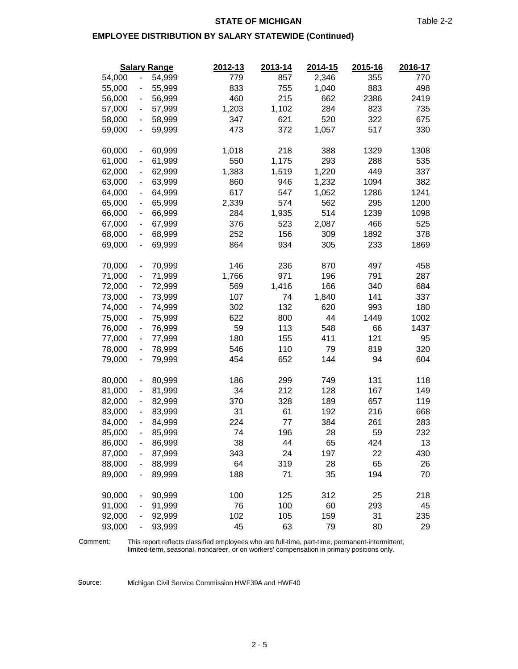#### **STATE OF MICHIGAN** Table 2-2

#### **EMPLOYEE DISTRIBUTION BY SALARY STATEWIDE (Continued)**

|        |                              | <b>Salary Range</b> | 2012-13 | 2013-14 | 2014-15 | 2015-16 | 2016-17 |
|--------|------------------------------|---------------------|---------|---------|---------|---------|---------|
| 54,000 | $\overline{\phantom{a}}$     | 54,999              | 779     | 857     | 2,346   | 355     | 770     |
| 55,000 | $\qquad \qquad \blacksquare$ | 55,999              | 833     | 755     | 1,040   | 883     | 498     |
| 56,000 | $\overline{\phantom{a}}$     | 56,999              | 460     | 215     | 662     | 2386    | 2419    |
| 57,000 | $\qquad \qquad \blacksquare$ | 57,999              | 1,203   | 1,102   | 284     | 823     | 735     |
| 58,000 | $\qquad \qquad \blacksquare$ | 58,999              | 347     | 621     | 520     | 322     | 675     |
| 59,000 | $\qquad \qquad \blacksquare$ | 59,999              | 473     | 372     | 1,057   | 517     | 330     |
| 60,000 | $\blacksquare$               | 60,999              | 1,018   | 218     | 388     | 1329    | 1308    |
| 61,000 | $\blacksquare$               | 61,999              | 550     | 1,175   | 293     | 288     | 535     |
| 62,000 | $\blacksquare$               | 62,999              | 1,383   | 1,519   | 1,220   | 449     | 337     |
| 63,000 | $\blacksquare$               | 63,999              | 860     | 946     | 1,232   | 1094    | 382     |
| 64,000 | $\blacksquare$               | 64,999              | 617     | 547     | 1,052   | 1286    | 1241    |
| 65,000 | $\blacksquare$               | 65,999              | 2,339   | 574     | 562     | 295     | 1200    |
| 66,000 | $\blacksquare$               | 66,999              | 284     | 1,935   | 514     | 1239    | 1098    |
| 67,000 | $\blacksquare$               | 67,999              | 376     | 523     | 2,087   | 466     | 525     |
| 68,000 | $\qquad \qquad \blacksquare$ | 68,999              | 252     | 156     | 309     | 1892    | 378     |
| 69,000 | $\blacksquare$               | 69,999              | 864     | 934     | 305     | 233     | 1869    |
| 70,000 | $\overline{\phantom{a}}$     | 70,999              | 146     | 236     | 870     | 497     | 458     |
| 71,000 | $\qquad \qquad \blacksquare$ | 71,999              | 1,766   | 971     | 196     | 791     | 287     |
| 72,000 | $\blacksquare$               | 72,999              | 569     | 1,416   | 166     | 340     | 684     |
| 73,000 | $\qquad \qquad \blacksquare$ | 73,999              | 107     | 74      | 1,840   | 141     | 337     |
| 74,000 | $\qquad \qquad \blacksquare$ | 74,999              | 302     | 132     | 620     | 993     | 180     |
| 75,000 | $\overline{\phantom{0}}$     | 75,999              | 622     | 800     | 44      | 1449    | 1002    |
| 76,000 | $\blacksquare$               | 76,999              | 59      | 113     | 548     | 66      | 1437    |
| 77,000 | $\overline{a}$               | 77,999              | 180     | 155     | 411     | 121     | 95      |
| 78,000 | $\blacksquare$               | 78,999              | 546     | 110     | 79      | 819     | 320     |
| 79,000 | $\qquad \qquad \blacksquare$ | 79,999              | 454     | 652     | 144     | 94      | 604     |
| 80,000 |                              | 80,999              | 186     | 299     | 749     | 131     | 118     |
| 81,000 | $\blacksquare$               | 81,999              | 34      | 212     | 128     | 167     | 149     |
| 82,000 | $\overline{\phantom{m}}$     | 82,999              | 370     | 328     | 189     | 657     | 119     |
| 83,000 | $\blacksquare$               | 83,999              | 31      | 61      | 192     | 216     | 668     |
| 84,000 | $\qquad \qquad \blacksquare$ | 84,999              | 224     | 77      | 384     | 261     | 283     |
| 85,000 | $\overline{\phantom{0}}$     | 85,999              | 74      | 196     | 28      | 59      | 232     |
| 86,000 |                              | 86,999              | 38      | 44      | 65      | 424     | 13      |
| 87,000 |                              | 87,999              | 343     | 24      | 197     | 22      | 430     |
| 88,000 |                              | 88,999              | 64      | 319     | 28      | 65      | 26      |
| 89,000 | $\qquad \qquad \blacksquare$ | 89,999              | 188     | 71      | 35      | 194     | 70      |
| 90,000 | $\blacksquare$               | 90,999              | 100     | 125     | 312     | 25      | 218     |
| 91,000 |                              | 91,999              | 76      | 100     | 60      | 293     | 45      |
| 92,000 |                              | 92,999              | 102     | 105     | 159     | 31      | 235     |
| 93,000 | $\qquad \qquad \blacksquare$ | 93,999              | 45      | 63      | 79      | 80      | 29      |

This report reflects classified employees who are full-time, part-time, permanent-intermittent, limited-term, seasonal, noncareer, or on workers' compensation in primary positions only. Comment:

Source: Michigan Civil Service Commission HWF39A and HWF40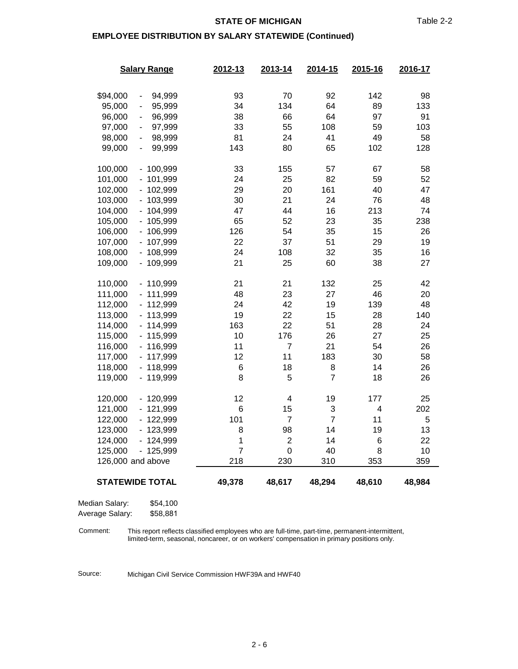#### **STATE OF MICHIGAN** Table 2-2

#### **EMPLOYEE DISTRIBUTION BY SALARY STATEWIDE (Continued)**

|                        | <b>Salary Range</b>                    | 2012-13     | 2013-14              | 2014-15             | 2015-16  | 2016-17  |
|------------------------|----------------------------------------|-------------|----------------------|---------------------|----------|----------|
|                        |                                        |             |                      |                     |          |          |
| \$94,000               | 94,999<br>$\qquad \qquad \blacksquare$ | 93          | 70                   | 92                  | 142      | 98       |
| 95,000                 | 95,999<br>-                            | 34          | 134                  | 64                  | 89       | 133      |
| 96,000                 | 96,999<br>٠                            | 38          | 66                   | 64                  | 97       | 91       |
| 97,000                 | 97,999<br>۰                            | 33          | 55                   | 108                 | 59       | 103      |
| 98,000                 | 98,999<br>$\qquad \qquad \blacksquare$ | 81          | 24                   | 41                  | 49       | 58       |
| 99,000                 | 99,999<br>$\overline{\phantom{0}}$     | 143         | 80                   | 65                  | 102      | 128      |
|                        |                                        |             |                      |                     |          |          |
| 100,000                | $-100,999$                             | 33          | 155                  | 57                  | 67       | 58       |
| 101,000                | $-101,999$                             | 24          | 25                   | 82                  | 59       | 52       |
| 102,000                | $-102,999$                             | 29          | 20                   | 161                 | 40       | 47       |
| 103,000                | $-103,999$                             | 30          | 21                   | 24                  | 76       | 48       |
| 104,000                | $-104,999$                             | 47          | 44                   | 16                  | 213      | 74       |
| 105,000                | $-105,999$                             | 65          | 52                   | 23                  | 35       | 238      |
| 106,000                | $-106,999$                             | 126         | 54                   | 35                  | 15       | 26       |
| 107,000                | $-107,999$                             | 22          | 37                   | 51                  | 29       | 19       |
| 108,000                | $-108,999$                             | 24          | 108                  | 32                  | 35       | 16       |
| 109,000                | - 109,999                              | 21          | 25                   | 60                  | 38       | 27       |
|                        |                                        |             |                      |                     |          |          |
| 110,000                | $-110,999$                             | 21          | 21                   | 132                 | 25       | 42       |
| 111,000                | $-111,999$                             | 48          | 23                   | 27                  | 46       | 20       |
| 112,000                | $-112,999$                             | 24          | 42                   | 19                  | 139      | 48       |
| 113,000                | $-113,999$                             | 19          | 22                   | 15                  | 28       | 140      |
| 114,000                | $-114,999$                             | 163         | 22                   | 51                  | 28       | 24       |
| 115,000                | $-115,999$                             | 10          | 176                  | 26                  | 27       | 25       |
| 116,000                | $-116,999$                             | 11          | $\overline{7}$       | 21                  | 54       | 26       |
| 117,000                | $-117,999$                             | 12          | 11                   | 183                 | 30       | 58       |
| 118,000                | $-118,999$                             | 6           | 18                   | 8                   | 14       | 26       |
| 119,000                | $-119,999$                             | 8           | 5                    | $\overline{7}$      | 18       | 26       |
|                        |                                        |             |                      |                     |          |          |
| 120,000                | $-120,999$<br>$-121,999$               | 12<br>$\,6$ | 4                    | 19                  | 177<br>4 | 25       |
| 121,000<br>122,000     | $-122,999$                             | 101         | 15<br>$\overline{7}$ | 3<br>$\overline{7}$ | 11       | 202<br>5 |
| 123,000                | - 123,999                              | 8           | 98                   | 14                  | 19       | 13       |
| 124,000                | $-124,999$                             | 1           | $\overline{2}$       | 14                  | 6        | 22       |
| 125,000                | $-125,999$                             | 7           | 0                    | 40                  | 8        | 10       |
| 126,000 and above      |                                        | 218         | 230                  | 310                 | 353      | 359      |
|                        |                                        |             |                      |                     |          |          |
| <b>STATEWIDE TOTAL</b> |                                        | 49,378      | 48,617               | 48,294              | 48,610   | 48,984   |
|                        |                                        |             |                      |                     |          |          |
| Median Salary:         | \$54,100                               |             |                      |                     |          |          |

Average Salary: \$58,881

This report reflects classified employees who are full-time, part-time, permanent-intermittent, limited-term, seasonal, noncareer, or on workers' compensation in primary positions only. Comment:

Source: Michigan Civil Service Commission HWF39A and HWF40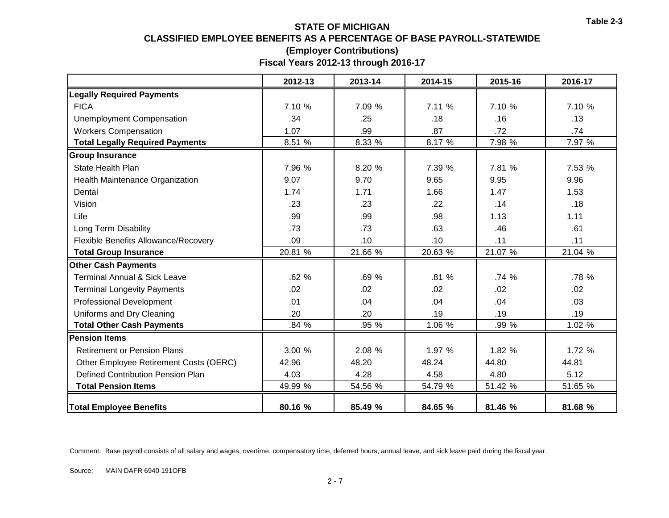### **STATE OF MICHIGAN CLASSIFIED EMPLOYEE BENEFITS AS A PERCENTAGE OF BASE PAYROLL-STATEWIDE (Employer Contributions) Fiscal Years 2012-13 through 2016-17**

|                                         | 2012-13 | 2013-14 | 2014-15 | 2015-16 | 2016-17 |
|-----------------------------------------|---------|---------|---------|---------|---------|
| <b>Legally Required Payments</b>        |         |         |         |         |         |
| <b>FICA</b>                             | 7.10 %  | 7.09 %  | 7.11 %  | 7.10 %  | 7.10 %  |
| <b>Unemployment Compensation</b>        | .34     | .25     | .18     | .16     | .13     |
| <b>Workers Compensation</b>             | 1.07    | .99     | .87     | .72     | .74     |
| <b>Total Legally Required Payments</b>  | 8.51 %  | 8.33 %  | 8.17 %  | 7.98 %  | 7.97 %  |
| <b>Group Insurance</b>                  |         |         |         |         |         |
| <b>State Health Plan</b>                | 7.96 %  | 8.20 %  | 7.39 %  | 7.81 %  | 7.53 %  |
| Health Maintenance Organization         | 9.07    | 9.70    | 9.65    | 9.95    | 9.96    |
| Dental                                  | 1.74    | 1.71    | 1.66    | 1.47    | 1.53    |
| Vision                                  | .23     | .23     | .22     | .14     | .18     |
| Life                                    | .99     | .99     | .98     | 1.13    | 1.11    |
| Long Term Disability                    | .73     | .73     | .63     | .46     | .61     |
| Flexible Benefits Allowance/Recovery    | .09     | .10     | .10     | .11     | .11     |
| <b>Total Group Insurance</b>            | 20.81 % | 21.66 % | 20.63 % | 21.07 % | 21.04 % |
| <b>Other Cash Payments</b>              |         |         |         |         |         |
| <b>Terminal Annual &amp; Sick Leave</b> | .62%    | .69 %   | .81 %   | .74%    | .78 %   |
| <b>Terminal Longevity Payments</b>      | .02     | .02     | .02     | .02     | .02     |
| <b>Professional Development</b>         | .01     | .04     | .04     | .04     | .03     |
| Uniforms and Dry Cleaning               | .20     | .20     | .19     | .19     | .19     |
| <b>Total Other Cash Payments</b>        | .84 %   | .95 %   | 1.06 %  | .99 %   | 1.02 %  |
| <b>Pension Items</b>                    |         |         |         |         |         |
| <b>Retirement or Pension Plans</b>      | 3.00 %  | 2.08 %  | 1.97 %  | 1.82 %  | 1.72 %  |
| Other Employee Retirement Costs (OERC)  | 42.96   | 48.20   | 48.24   | 44.80   | 44.81   |
| Defined Contribution Pension Plan       | 4.03    | 4.28    | 4.58    | 4.80    | 5.12    |
| <b>Total Pension Items</b>              | 49.99 % | 54.56 % | 54.79 % | 51.42 % | 51.65 % |
| <b>Total Employee Benefits</b>          | 80.16 % | 85.49 % | 84.65 % | 81.46 % | 81.68 % |

Comment: Base payroll consists of all salary and wages, overtime, compensatory time, deferred hours, annual leave, and sick leave paid during the fiscal year.

Source: MAIN DAFR 6940 191OFB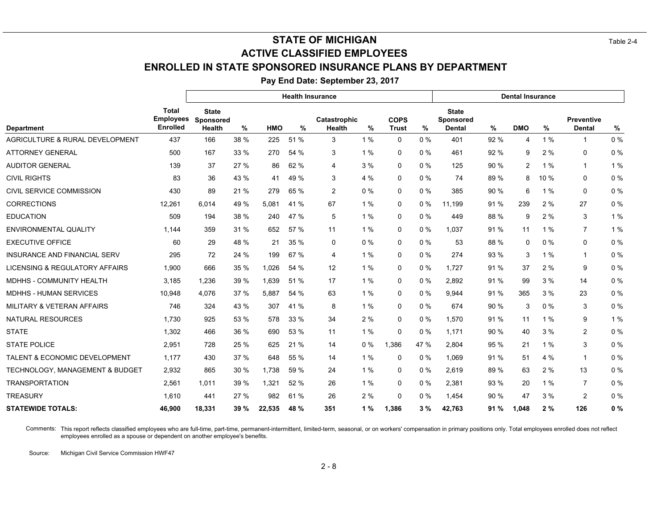# **STATE OF MICHIGAN** Table 2-4 **ACTIVE CLASSIFIED EMPLOYEES**

# **ENROLLED IN STATE SPONSORED INSURANCE PLANS BY DEPARTMENT**

**Pay End Date: September 23, 2017**

|                                            |                                                     | <b>Health Insurance</b>                    |             |            |      |                        |       |                             | <b>Dental Insurance</b> |                                                   |      |                |       |                                    |       |
|--------------------------------------------|-----------------------------------------------------|--------------------------------------------|-------------|------------|------|------------------------|-------|-----------------------------|-------------------------|---------------------------------------------------|------|----------------|-------|------------------------------------|-------|
| <b>Department</b>                          | <b>Total</b><br><b>Employees</b><br><b>Enrolled</b> | <b>State</b><br>Sponsored<br><b>Health</b> | %           | <b>HMO</b> | $\%$ | Catastrophic<br>Health | %     | <b>COPS</b><br><b>Trust</b> | %                       | <b>State</b><br><b>Sponsored</b><br><b>Dental</b> | %    | <b>DMO</b>     | $\%$  | <b>Preventive</b><br><b>Dental</b> | %     |
| <b>AGRICULTURE &amp; RURAL DEVELOPMENT</b> | 437                                                 | 166                                        | 38 %        | 225        | 51 % | 3                      | 1%    | $\Omega$                    | 0%                      | 401                                               | 92 % | 4              | 1%    | 1                                  | 0%    |
| <b>ATTORNEY GENERAL</b>                    | 500                                                 | 167                                        | 33 %        | 270        | 54 % | 3                      | 1%    | 0                           | $0\%$                   | 461                                               | 92 % | 9              | 2%    | 0                                  | 0%    |
| <b>AUDITOR GENERAL</b>                     | 139                                                 | 37                                         | 27 %        | 86         | 62 % | 4                      | 3%    | 0                           | 0%                      | 125                                               | 90 % | $\overline{c}$ | 1%    | $\mathbf{1}$                       | 1 %   |
| <b>CIVIL RIGHTS</b>                        | 83                                                  | 36                                         | 43 %        | 41         | 49 % | 3                      | 4 %   | 0                           | $0\%$                   | 74                                                | 89 % | 8              | 10 %  | 0                                  | 0%    |
| CIVIL SERVICE COMMISSION                   | 430                                                 | 89                                         | 21 %        | 279        | 65 % | $\overline{2}$         | 0%    | 0                           | $0\%$                   | 385                                               | 90 % | 6              | 1%    | 0                                  | 0%    |
| <b>CORRECTIONS</b>                         | 12.261                                              | 6.014                                      | 49 %        | 5.081      | 41 % | 67                     | 1%    | 0                           | 0%                      | 11.199                                            | 91 % | 239            | 2%    | 27                                 | 0%    |
| <b>EDUCATION</b>                           | 509                                                 | 194                                        | 38 %        | 240        | 47 % | 5                      | 1%    | 0                           | 0%                      | 449                                               | 88 % | 9              | 2%    | 3                                  | 1%    |
| <b>ENVIRONMENTAL QUALITY</b>               | 1.144                                               | 359                                        | 31 %        | 652        | 57 % | 11                     | 1%    | $\Omega$                    | 0%                      | 1.037                                             | 91 % | 11             | 1%    | $\overline{7}$                     | 1%    |
| <b>EXECUTIVE OFFICE</b>                    | 60                                                  | 29                                         | 48 %        | 21         | 35 % | 0                      | $0\%$ | 0                           | $0\%$                   | 53                                                | 88 % | $\Omega$       | $0\%$ | 0                                  | 0%    |
| INSURANCE AND FINANCIAL SERV               | 295                                                 | 72                                         | 24 %        | 199        | 67 % | 4                      | 1%    | 0                           | $0\%$                   | 274                                               | 93 % | 3              | 1%    | $\mathbf{1}$                       | 0%    |
| LICENSING & REGULATORY AFFAIRS             | 1,900                                               | 666                                        | 35 %        | 1,026      | 54 % | 12                     | 1%    | 0                           | $0\%$                   | 1,727                                             | 91 % | 37             | 2%    | 9                                  | 0%    |
| <b>MDHHS - COMMUNITY HEALTH</b>            | 3,185                                               | 1,236                                      | 39 %        | 1,639      | 51%  | 17                     | 1%    | 0                           | $0\%$                   | 2,892                                             | 91 % | 99             | 3%    | 14                                 | 0%    |
| MDHHS - HUMAN SERVICES                     | 10,948                                              | 4.076                                      | 37 %        | 5.887      | 54 % | 63                     | 1%    | $\Omega$                    | 0%                      | 9.944                                             | 91 % | 365            | 3%    | 23                                 | 0%    |
| <b>MILITARY &amp; VETERAN AFFAIRS</b>      | 746                                                 | 324                                        | 43 %        | 307        | 41 % | 8                      | 1%    | $\Omega$                    | $0\%$                   | 674                                               | 90 % | 3              | $0\%$ | 3                                  | 0%    |
| <b>NATURAL RESOURCES</b>                   | 1.730                                               | 925                                        | 53 %        | 578        | 33 % | 34                     | 2%    | 0                           | $0\%$                   | 1,570                                             | 91 % | 11             | 1%    | 9                                  | 1%    |
| <b>STATE</b>                               | 1,302                                               | 466                                        | 36 %        | 690        | 53 % | 11                     | 1%    | 0                           | $0\%$                   | 1,171                                             | 90 % | 40             | 3%    | $\overline{2}$                     | 0%    |
| <b>STATE POLICE</b>                        | 2,951                                               | 728                                        | 25 %        | 625        | 21 % | 14                     | 0%    | 1,386                       | 47 %                    | 2,804                                             | 95 % | 21             | 1%    | 3                                  | 0%    |
| TALENT & ECONOMIC DEVELOPMENT              | 1,177                                               | 430                                        | 37 %        | 648        | 55 % | 14                     | 1%    | 0                           | $0\%$                   | 1,069                                             | 91 % | 51             | 4%    | $\mathbf{1}$                       | 0%    |
| TECHNOLOGY, MANAGEMENT & BUDGET            | 2,932                                               | 865                                        | 30 %        | 1.738      | 59 % | 24                     | 1%    | $\Omega$                    | $0\%$                   | 2,619                                             | 89 % | 63             | 2%    | 13                                 | 0%    |
| <b>TRANSPORTATION</b>                      | 2,561                                               | 1,011                                      | 39 %        | 1,321      | 52 % | 26                     | 1%    | $\Omega$                    | $0\%$                   | 2,381                                             | 93 % | 20             | 1%    | $\overline{7}$                     | 0%    |
| <b>TREASURY</b>                            | 1,610                                               | 441                                        | 27 %        | 982        | 61 % | 26                     | 2%    | $\Omega$                    | 0%                      | 1.454                                             | 90 % | 47             | 3%    | $\overline{c}$                     | $0\%$ |
| <b>STATEWIDE TOTALS:</b>                   | 46,900                                              | 18,331                                     | <b>39 %</b> | 22,535     | 48 % | 351                    | 1%    | 1,386                       | 3%                      | 42,763                                            | 91 % | 1,048          | 2%    | 126                                | 0%    |

Comments: This report reflects classified employees who are full-time, part-time, permanent-intermittent, limited-term, seasonal, or on workers' compensation in primary positions only. Total employees enrolled does not ref employees enrolled as a spouse or dependent on another employee's benefits.

Source: Michigan Civil Service Commission HWF47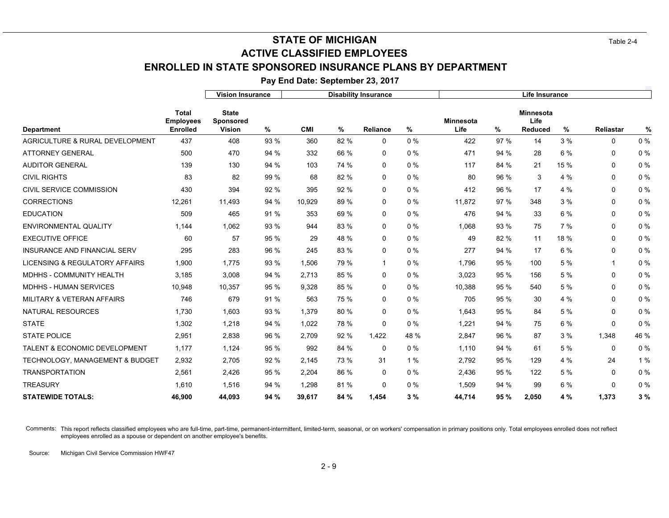# **STATE OF MICHIGAN** Table 2-4 **ENROLLED IN STATE SPONSORED INSURANCE PLANS BY DEPARTMENT ACTIVE CLASSIFIED EMPLOYEES**

**Pay End Date: September 23, 2017**

|                                            |                                                     | <b>Vision Insurance</b>                           |      |            | <b>Disability Insurance</b> |              |       | Life Insurance    |      |                                            |      |              |       |
|--------------------------------------------|-----------------------------------------------------|---------------------------------------------------|------|------------|-----------------------------|--------------|-------|-------------------|------|--------------------------------------------|------|--------------|-------|
| <b>Department</b>                          | <b>Total</b><br><b>Employees</b><br><b>Enrolled</b> | <b>State</b><br><b>Sponsored</b><br><b>Vision</b> | %    | <b>CMI</b> | %                           | Reliance     | %     | Minnesota<br>Life | %    | <b>Minnesota</b><br>Life<br><b>Reduced</b> | %    | Reliastar    | $\%$  |
| AGRICULTURE & RURAL DEVELOPMENT            | 437                                                 | 408                                               | 93 % | 360        | 82 %                        | 0            | 0%    | 422               | 97%  | 14                                         | 3%   | $\mathbf 0$  | 0%    |
| <b>ATTORNEY GENERAL</b>                    | 500                                                 | 470                                               | 94 % | 332        | 66 %                        | 0            | 0%    | 471               | 94 % | 28                                         | 6 %  | 0            | 0%    |
| <b>AUDITOR GENERAL</b>                     | 139                                                 | 130                                               | 94 % | 103        | 74 %                        | $\Omega$     | $0\%$ | 117               | 84 % | 21                                         | 15 % | $\mathbf 0$  | 0%    |
| <b>CIVIL RIGHTS</b>                        | 83                                                  | 82                                                | 99 % | 68         | 82 %                        | 0            | 0%    | 80                | 96 % | 3                                          | 4 %  | 0            | $0\%$ |
| CIVIL SERVICE COMMISSION                   | 430                                                 | 394                                               | 92 % | 395        | 92 %                        | 0            | 0%    | 412               | 96 % | 17                                         | 4 %  | 0            | $0\%$ |
| <b>CORRECTIONS</b>                         | 12,261                                              | 11,493                                            | 94 % | 10.929     | 89 %                        | 0            | 0%    | 11.872            | 97 % | 348                                        | 3%   | $\mathbf 0$  | $0\%$ |
| <b>EDUCATION</b>                           | 509                                                 | 465                                               | 91 % | 353        | 69 %                        | 0            | 0%    | 476               | 94 % | 33                                         | 6 %  | 0            | $0\%$ |
| <b>ENVIRONMENTAL QUALITY</b>               | 1,144                                               | 1,062                                             | 93 % | 944        | 83 %                        | $\mathbf{0}$ | 0%    | 1.068             | 93 % | 75                                         | 7%   | $\mathbf 0$  | $0\%$ |
| <b>EXECUTIVE OFFICE</b>                    | 60                                                  | 57                                                | 95 % | 29         | 48 %                        | 0            | 0%    | 49                | 82 % | 11                                         | 18 % | 0            | $0\%$ |
| <b>INSURANCE AND FINANCIAL SERV</b>        | 295                                                 | 283                                               | 96 % | 245        | 83 %                        | $\mathbf{0}$ | 0%    | 277               | 94 % | 17                                         | 6 %  | 0            | 0%    |
| LICENSING & REGULATORY AFFAIRS             | 1,900                                               | 1,775                                             | 93 % | 1,506      | 79 %                        | 1            | 0%    | 1.796             | 95 % | 100                                        | 5 %  | $\mathbf{1}$ | $0\%$ |
| <b>MDHHS - COMMUNITY HEALTH</b>            | 3,185                                               | 3,008                                             | 94 % | 2,713      | 85 %                        | 0            | 0%    | 3,023             | 95 % | 156                                        | 5 %  | 0            | $0\%$ |
| <b>MDHHS - HUMAN SERVICES</b>              | 10,948                                              | 10,357                                            | 95 % | 9,328      | 85 %                        | $\mathbf{0}$ | 0%    | 10,388            | 95 % | 540                                        | 5 %  | 0            | $0\%$ |
| MILITARY & VETERAN AFFAIRS                 | 746                                                 | 679                                               | 91 % | 563        | 75 %                        | 0            | 0%    | 705               | 95 % | 30                                         | 4 %  | $\mathbf 0$  | 0%    |
| <b>NATURAL RESOURCES</b>                   | 1,730                                               | 1,603                                             | 93 % | 1,379      | 80 %                        | 0            | 0%    | 1,643             | 95 % | 84                                         | 5 %  | 0            | $0\%$ |
| <b>STATE</b>                               | 1,302                                               | 1,218                                             | 94 % | 1.022      | 78 %                        | $\mathbf{0}$ | 0%    | 1.221             | 94 % | 75                                         | 6 %  | $\mathbf 0$  | 0%    |
| <b>STATE POLICE</b>                        | 2,951                                               | 2,838                                             | 96 % | 2,709      | 92 %                        | 1,422        | 48 %  | 2,847             | 96 % | 87                                         | 3%   | 1,348        | 46 %  |
| <b>TALENT &amp; ECONOMIC DEVELOPMENT</b>   | 1,177                                               | 1,124                                             | 95 % | 992        | 84 %                        | 0            | 0%    | 1,110             | 94 % | 61                                         | 5 %  | 0            | 0%    |
| <b>TECHNOLOGY, MANAGEMENT &amp; BUDGET</b> | 2,932                                               | 2,705                                             | 92 % | 2.145      | 73 %                        | 31           | 1%    | 2,792             | 95 % | 129                                        | 4 %  | 24           | 1%    |
| <b>TRANSPORTATION</b>                      | 2,561                                               | 2,426                                             | 95 % | 2,204      | 86 %                        | 0            | 0%    | 2,436             | 95 % | 122                                        | 5 %  | 0            | 0%    |
| <b>TREASURY</b>                            | 1,610                                               | 1,516                                             | 94 % | 1.298      | 81%                         | 0            | 0%    | 1,509             | 94 % | 99                                         | 6 %  | $\mathbf{0}$ | $0\%$ |
| <b>STATEWIDE TOTALS:</b>                   | 46,900                                              | 44,093                                            | 94 % | 39,617     | 84 %                        | 1,454        | 3%    | 44,714            | 95%  | 2,050                                      | 4 %  | 1,373        | 3%    |

Comments: This report reflects classified employees who are full-time, part-time, permanent-intermittent, limited-term, seasonal, or on workers' compensation in primary positions only. Total employees enrolled does not ref employees enrolled as a spouse or dependent on another employee's benefits.

Source: Michigan Civil Service Commission HWF47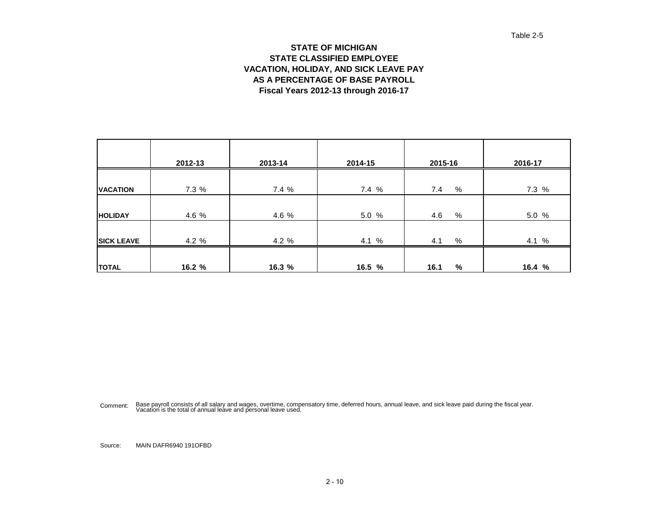#### Table 2-5

#### **STATE OF MICHIGAN STATE CLASSIFIED EMPLOYEE VACATION, HOLIDAY, AND SICK LEAVE PAY AS A PERCENTAGE OF BASE PAYROLL Fiscal Years 2012-13 through 2016-17**

|                   | 2012-13 | 2013-14 | 2014-15 | 2015-16     | 2016-17 |
|-------------------|---------|---------|---------|-------------|---------|
|                   |         |         |         |             |         |
| <b>VACATION</b>   | 7.3 %   | 7.4 %   | 7.4 %   | %<br>7.4    | 7.3 %   |
| <b>HOLIDAY</b>    | 4.6 %   | 4.6 %   | 5.0 %   | $\%$<br>4.6 | 5.0 %   |
| <b>SICK LEAVE</b> | 4.2%    | 4.2%    | 4.1 %   | %<br>4.1    | 4.1 %   |
| <b>TOTAL</b>      | 16.2 %  | 16.3 %  | 16.5 %  | %<br>16.1   | 16.4%   |

Comment: Base payroll consists of all salary and wages, overtime, compensatory time, deferred hours, annual leave, and sick leave paid during the fiscal year.<br>Vacation is the total of annual leave and personal leave used.

Source: MAIN DAFR6940 191OFBD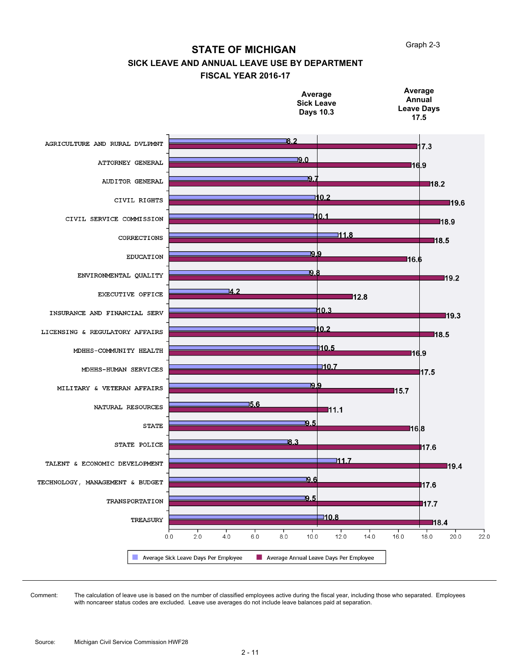Graph 2-3

#### **STATE OF MICHIGAN**

### **SICK LEAVE AND ANNUAL LEAVE USE BY DEPARTMENT**

#### **FISCAL YEAR 2016-17**



The calculation of leave use is based on the number of classified employees active during the fiscal year, including those who separated. Employees with noncareer status codes are excluded. Leave use averages do not include leave balances paid at separation. Comment: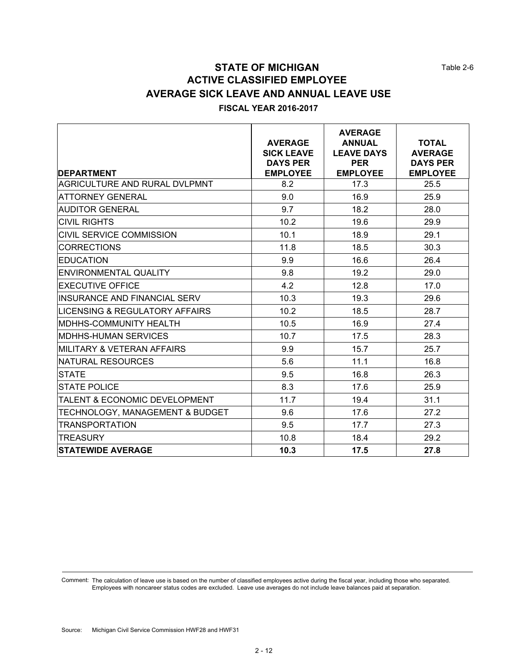Table 2-6

# **STATE OF MICHIGAN ACTIVE CLASSIFIED EMPLOYEE AVERAGE SICK LEAVE AND ANNUAL LEAVE USE**

#### **FISCAL YEAR 2016-2017**

| <b>DEPARTMENT</b>                         | <b>AVERAGE</b><br><b>SICK LEAVE</b><br><b>DAYS PER</b><br><b>EMPLOYEE</b> | <b>AVERAGE</b><br><b>ANNUAL</b><br><b>LEAVE DAYS</b><br><b>PER</b><br><b>EMPLOYEE</b> | <b>TOTAL</b><br><b>AVERAGE</b><br><b>DAYS PER</b><br><b>EMPLOYEE</b> |
|-------------------------------------------|---------------------------------------------------------------------------|---------------------------------------------------------------------------------------|----------------------------------------------------------------------|
| <b>AGRICULTURE AND RURAL DVLPMNT</b>      | 8.2                                                                       | 17.3                                                                                  | 25.5                                                                 |
| <b>ATTORNEY GENERAL</b>                   | 9.0                                                                       | 16.9                                                                                  | 25.9                                                                 |
| <b>AUDITOR GENERAL</b>                    | 9.7                                                                       | 18.2                                                                                  | 28.0                                                                 |
| <b>CIVIL RIGHTS</b>                       | 10.2                                                                      | 19.6                                                                                  | 29.9                                                                 |
| CIVIL SERVICE COMMISSION                  | 10.1                                                                      | 18.9                                                                                  | 29.1                                                                 |
| <b>CORRECTIONS</b>                        | 11.8                                                                      | 18.5                                                                                  | 30.3                                                                 |
| <b>EDUCATION</b>                          | 9.9                                                                       | 16.6                                                                                  | 26.4                                                                 |
| <b>ENVIRONMENTAL QUALITY</b>              | 9.8                                                                       | 19.2                                                                                  | 29.0                                                                 |
| <b>EXECUTIVE OFFICE</b>                   | 4.2                                                                       | 12.8                                                                                  | 17.0                                                                 |
| <b>INSURANCE AND FINANCIAL SERV</b>       | 10.3                                                                      | 19.3                                                                                  | 29.6                                                                 |
| <b>LICENSING &amp; REGULATORY AFFAIRS</b> | 10.2                                                                      | 18.5                                                                                  | 28.7                                                                 |
| <b>MDHHS-COMMUNITY HEALTH</b>             | 10.5                                                                      | 16.9                                                                                  | 27.4                                                                 |
| <b>MDHHS-HUMAN SERVICES</b>               | 10.7                                                                      | 17.5                                                                                  | 28.3                                                                 |
| MILITARY & VETERAN AFFAIRS                | 9.9                                                                       | 15.7                                                                                  | 25.7                                                                 |
| <b>NATURAL RESOURCES</b>                  | 5.6                                                                       | 11.1                                                                                  | 16.8                                                                 |
| <b>STATE</b>                              | 9.5                                                                       | 16.8                                                                                  | 26.3                                                                 |
| <b>STATE POLICE</b>                       | 8.3                                                                       | 17.6                                                                                  | 25.9                                                                 |
| <b>TALENT &amp; ECONOMIC DEVELOPMENT</b>  | 11.7                                                                      | 19.4                                                                                  | 31.1                                                                 |
| TECHNOLOGY, MANAGEMENT & BUDGET           | 9.6                                                                       | 17.6                                                                                  | 27.2                                                                 |
| <b>TRANSPORTATION</b>                     | 9.5                                                                       | 17.7                                                                                  | 27.3                                                                 |
| <b>TREASURY</b>                           | 10.8                                                                      | 18.4                                                                                  | 29.2                                                                 |
| <b>STATEWIDE AVERAGE</b>                  | 10.3                                                                      | 17.5                                                                                  | 27.8                                                                 |

Comment: The calculation of leave use is based on the number of classified employees active during the fiscal year, including those who separated. Employees with noncareer status codes are excluded. Leave use averages do not include leave balances paid at separation.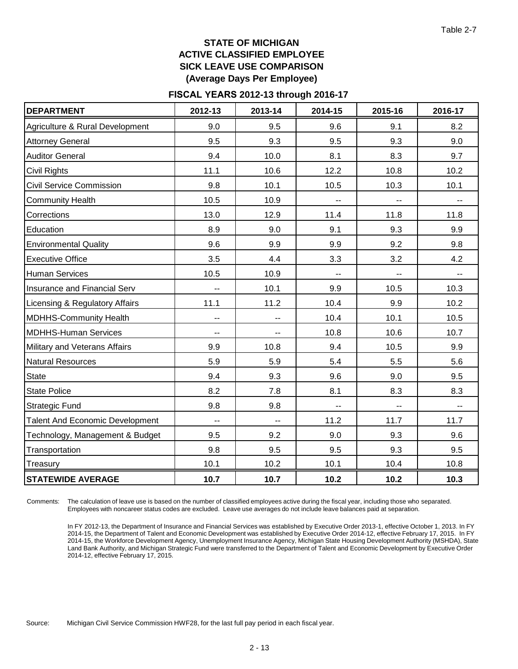### **STATE OF MICHIGAN ACTIVE CLASSIFIED EMPLOYEE SICK LEAVE USE COMPARISON (Average Days Per Employee)**

#### **FISCAL YEARS 2012-13 through 2016-17**

| <b>DEPARTMENT</b>                      | 2012-13                  | 2013-14                  | 2014-15 | 2015-16 | 2016-17 |
|----------------------------------------|--------------------------|--------------------------|---------|---------|---------|
| Agriculture & Rural Development        | 9.0                      | 9.5                      | 9.6     | 9.1     | 8.2     |
| <b>Attorney General</b>                | 9.5                      | 9.3                      | 9.5     | 9.3     | 9.0     |
| <b>Auditor General</b>                 | 9.4                      | 10.0                     | 8.1     | 8.3     | 9.7     |
| <b>Civil Rights</b>                    | 11.1                     | 10.6                     | 12.2    | 10.8    | 10.2    |
| <b>Civil Service Commission</b>        | 9.8                      | 10.1                     | 10.5    | 10.3    | 10.1    |
| <b>Community Health</b>                | 10.5                     | 10.9                     |         |         |         |
| Corrections                            | 13.0                     | 12.9                     | 11.4    | 11.8    | 11.8    |
| Education                              | 8.9                      | 9.0                      | 9.1     | 9.3     | 9.9     |
| <b>Environmental Quality</b>           | 9.6                      | 9.9                      | 9.9     | 9.2     | 9.8     |
| <b>Executive Office</b>                | 3.5                      | 4.4                      | 3.3     | 3.2     | 4.2     |
| Human Services                         | 10.5                     | 10.9                     | --      | --      |         |
| <b>Insurance and Financial Serv</b>    | --                       | 10.1                     | 9.9     | 10.5    | 10.3    |
| Licensing & Regulatory Affairs         | 11.1                     | 11.2                     | 10.4    | 9.9     | 10.2    |
| <b>MDHHS-Community Health</b>          | ۰.                       | --                       | 10.4    | 10.1    | 10.5    |
| <b>MDHHS-Human Services</b>            | ۰.                       | --                       | 10.8    | 10.6    | 10.7    |
| Military and Veterans Affairs          | 9.9                      | 10.8                     | 9.4     | 10.5    | 9.9     |
| <b>Natural Resources</b>               | 5.9                      | 5.9                      | 5.4     | 5.5     | 5.6     |
| <b>State</b>                           | 9.4                      | 9.3                      | 9.6     | 9.0     | 9.5     |
| <b>State Police</b>                    | 8.2                      | 7.8                      | 8.1     | 8.3     | 8.3     |
| <b>Strategic Fund</b>                  | 9.8                      | 9.8                      | н.      |         | ۰.      |
| <b>Talent And Economic Development</b> | $\overline{\phantom{a}}$ | $\overline{\phantom{a}}$ | 11.2    | 11.7    | 11.7    |
| Technology, Management & Budget        | 9.5                      | 9.2                      | 9.0     | 9.3     | 9.6     |
| Transportation                         | 9.8                      | 9.5                      | 9.5     | 9.3     | 9.5     |
| Treasury                               | 10.1                     | 10.2                     | 10.1    | 10.4    | 10.8    |
| <b>STATEWIDE AVERAGE</b>               | 10.7                     | 10.7                     | 10.2    | 10.2    | 10.3    |

The calculation of leave use is based on the number of classified employees active during the fiscal year, including those who separated. Employees with noncareer status codes are excluded. Leave use averages do not include leave balances paid at separation. Comments:

In FY 2012-13, the Department of Insurance and Financial Services was established by Executive Order 2013-1, effective October 1, 2013. In FY 2014-15, the Department of Talent and Economic Development was established by Executive Order 2014-12, effective February 17, 2015. In FY 2014-15, the Workforce Development Agency, Unemployment Insurance Agency, Michigan State Housing Development Authority (MSHDA), State Land Bank Authority, and Michigan Strategic Fund were transferred to the Department of Talent and Economic Development by Executive Order 2014-12, effective February 17, 2015.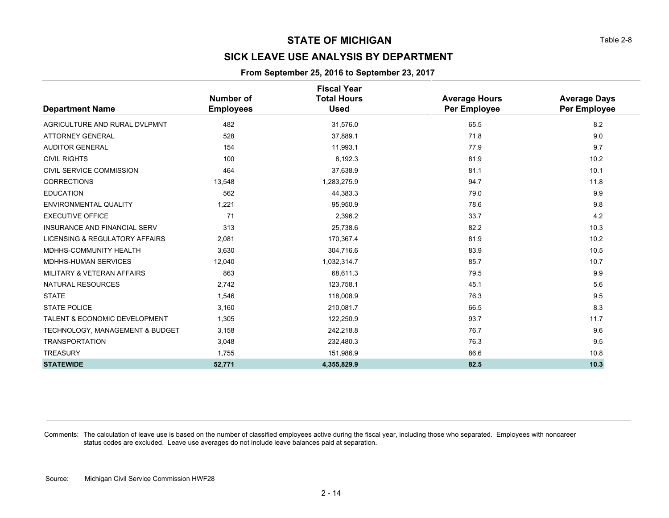# **SICK LEAVE USE ANALYSIS BY DEPARTMENT**

#### **From September 25, 2016 to September 23, 2017**

|                                          |                  | <b>Fiscal Year</b> |                      |                     |
|------------------------------------------|------------------|--------------------|----------------------|---------------------|
|                                          | Number of        | <b>Total Hours</b> | <b>Average Hours</b> | <b>Average Days</b> |
| <b>Department Name</b>                   | <b>Employees</b> | <b>Used</b>        | Per Employee         | Per Employee        |
| AGRICULTURE AND RURAL DVLPMNT            | 482              | 31,576.0           | 65.5                 | 8.2                 |
| <b>ATTORNEY GENERAL</b>                  | 528              | 37,889.1           | 71.8                 | 9.0                 |
| <b>AUDITOR GENERAL</b>                   | 154              | 11,993.1           | 77.9                 | 9.7                 |
| <b>CIVIL RIGHTS</b>                      | 100              | 8,192.3            | 81.9                 | 10.2                |
| CIVIL SERVICE COMMISSION                 | 464              | 37,638.9           | 81.1                 | 10.1                |
| <b>CORRECTIONS</b>                       | 13,548           | 1,283,275.9        | 94.7                 | 11.8                |
| <b>EDUCATION</b>                         | 562              | 44,383.3           | 79.0                 | 9.9                 |
| <b>ENVIRONMENTAL QUALITY</b>             | 1,221            | 95,950.9           | 78.6                 | 9.8                 |
| <b>EXECUTIVE OFFICE</b>                  | 71               | 2,396.2            | 33.7                 | 4.2                 |
| <b>INSURANCE AND FINANCIAL SERV</b>      | 313              | 25,738.6           | 82.2                 | 10.3                |
| LICENSING & REGULATORY AFFAIRS           | 2,081            | 170,367.4          | 81.9                 | 10.2                |
| MDHHS-COMMUNITY HEALTH                   | 3,630            | 304,716.6          | 83.9                 | 10.5                |
| <b>MDHHS-HUMAN SERVICES</b>              | 12,040           | 1,032,314.7        | 85.7                 | 10.7                |
| MILITARY & VETERAN AFFAIRS               | 863              | 68,611.3           | 79.5                 | 9.9                 |
| <b>NATURAL RESOURCES</b>                 | 2,742            | 123,758.1          | 45.1                 | 5.6                 |
| <b>STATE</b>                             | 1,546            | 118,008.9          | 76.3                 | 9.5                 |
| <b>STATE POLICE</b>                      | 3,160            | 210,081.7          | 66.5                 | 8.3                 |
| <b>TALENT &amp; ECONOMIC DEVELOPMENT</b> | 1,305            | 122,250.9          | 93.7                 | 11.7                |
| TECHNOLOGY, MANAGEMENT & BUDGET          | 3,158            | 242,218.8          | 76.7                 | 9.6                 |
| <b>TRANSPORTATION</b>                    | 3,048            | 232,480.3          | 76.3                 | 9.5                 |
| <b>TREASURY</b>                          | 1,755            | 151,986.9          | 86.6                 | 10.8                |
| <b>STATEWIDE</b>                         | 52,771           | 4,355,829.9        | 82.5                 | 10.3                |

Comments: The calculation of leave use is based on the number of classified employees active during the fiscal year, including those who separated. Employees with noncareer status codes are excluded. Leave use averages do not include leave balances paid at separation.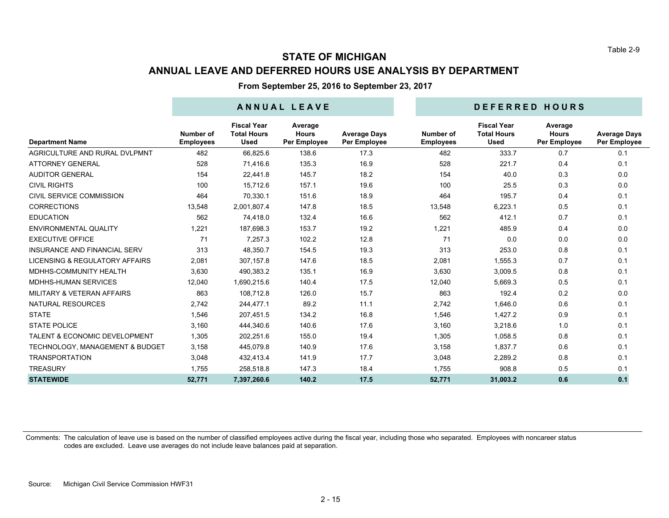# **STATE OF MICHIGAN ANNUAL LEAVE AND DEFERRED HOURS USE ANALYSIS BY DEPARTMENT**

**From September 25, 2016 to September 23, 2017**

|                                          | ANNUAL LEAVE                  |                                                         |                                         |                                     |                               | DEFERRED HOURS                                          |                                         |                                     |  |  |
|------------------------------------------|-------------------------------|---------------------------------------------------------|-----------------------------------------|-------------------------------------|-------------------------------|---------------------------------------------------------|-----------------------------------------|-------------------------------------|--|--|
| <b>Department Name</b>                   | Number of<br><b>Employees</b> | <b>Fiscal Year</b><br><b>Total Hours</b><br><b>Used</b> | Average<br><b>Hours</b><br>Per Employee | <b>Average Days</b><br>Per Employee | Number of<br><b>Employees</b> | <b>Fiscal Year</b><br><b>Total Hours</b><br><b>Used</b> | Average<br><b>Hours</b><br>Per Employee | <b>Average Days</b><br>Per Employee |  |  |
| AGRICULTURE AND RURAL DVLPMNT            | 482                           | 66,825.6                                                | 138.6                                   | 17.3                                | 482                           | 333.7                                                   | 0.7                                     | 0.1                                 |  |  |
| <b>ATTORNEY GENERAL</b>                  | 528                           | 71,416.6                                                | 135.3                                   | 16.9                                | 528                           | 221.7                                                   | 0.4                                     | 0.1                                 |  |  |
| <b>AUDITOR GENERAL</b>                   | 154                           | 22,441.8                                                | 145.7                                   | 18.2                                | 154                           | 40.0                                                    | 0.3                                     | 0.0                                 |  |  |
| <b>CIVIL RIGHTS</b>                      | 100                           | 15,712.6                                                | 157.1                                   | 19.6                                | 100                           | 25.5                                                    | 0.3                                     | 0.0                                 |  |  |
| CIVIL SERVICE COMMISSION                 | 464                           | 70.330.1                                                | 151.6                                   | 18.9                                | 464                           | 195.7                                                   | 0.4                                     | 0.1                                 |  |  |
| <b>CORRECTIONS</b>                       | 13,548                        | 2,001,807.4                                             | 147.8                                   | 18.5                                | 13,548                        | 6,223.1                                                 | 0.5                                     | 0.1                                 |  |  |
| <b>EDUCATION</b>                         | 562                           | 74,418.0                                                | 132.4                                   | 16.6                                | 562                           | 412.1                                                   | 0.7                                     | 0.1                                 |  |  |
| <b>ENVIRONMENTAL QUALITY</b>             | 1,221                         | 187,698.3                                               | 153.7                                   | 19.2                                | 1.221                         | 485.9                                                   | 0.4                                     | 0.0                                 |  |  |
| <b>EXECUTIVE OFFICE</b>                  | 71                            | 7,257.3                                                 | 102.2                                   | 12.8                                | 71                            | 0.0                                                     | 0.0                                     | 0.0                                 |  |  |
| <b>INSURANCE AND FINANCIAL SERV</b>      | 313                           | 48.350.7                                                | 154.5                                   | 19.3                                | 313                           | 253.0                                                   | 0.8                                     | 0.1                                 |  |  |
| LICENSING & REGULATORY AFFAIRS           | 2,081                         | 307,157.8                                               | 147.6                                   | 18.5                                | 2,081                         | 1,555.3                                                 | 0.7                                     | 0.1                                 |  |  |
| MDHHS-COMMUNITY HEALTH                   | 3,630                         | 490,383.2                                               | 135.1                                   | 16.9                                | 3,630                         | 3,009.5                                                 | 0.8                                     | 0.1                                 |  |  |
| <b>MDHHS-HUMAN SERVICES</b>              | 12,040                        | 1,690,215.6                                             | 140.4                                   | 17.5                                | 12,040                        | 5,669.3                                                 | 0.5                                     | 0.1                                 |  |  |
| MILITARY & VETERAN AFFAIRS               | 863                           | 108,712.8                                               | 126.0                                   | 15.7                                | 863                           | 192.4                                                   | 0.2                                     | 0.0                                 |  |  |
| <b>NATURAL RESOURCES</b>                 | 2,742                         | 244,477.1                                               | 89.2                                    | 11.1                                | 2,742                         | 1,646.0                                                 | 0.6                                     | 0.1                                 |  |  |
| <b>STATE</b>                             | 1,546                         | 207,451.5                                               | 134.2                                   | 16.8                                | 1,546                         | 1,427.2                                                 | 0.9                                     | 0.1                                 |  |  |
| <b>STATE POLICE</b>                      | 3,160                         | 444,340.6                                               | 140.6                                   | 17.6                                | 3,160                         | 3,218.6                                                 | 1.0                                     | 0.1                                 |  |  |
| <b>TALENT &amp; ECONOMIC DEVELOPMENT</b> | 1,305                         | 202,251.6                                               | 155.0                                   | 19.4                                | 1,305                         | 1,058.5                                                 | 0.8                                     | 0.1                                 |  |  |
| TECHNOLOGY, MANAGEMENT & BUDGET          | 3,158                         | 445,079.8                                               | 140.9                                   | 17.6                                | 3,158                         | 1,837.7                                                 | 0.6                                     | 0.1                                 |  |  |
| <b>TRANSPORTATION</b>                    | 3,048                         | 432,413.4                                               | 141.9                                   | 17.7                                | 3,048                         | 2,289.2                                                 | 0.8                                     | 0.1                                 |  |  |
| <b>TREASURY</b>                          | 1,755                         | 258,518.8                                               | 147.3                                   | 18.4                                | 1,755                         | 908.8                                                   | 0.5                                     | 0.1                                 |  |  |
| <b>STATEWIDE</b>                         | 52,771                        | 7,397,260.6                                             | 140.2                                   | 17.5                                | 52,771                        | 31,003.2                                                | 0.6                                     | 0.1                                 |  |  |

Comments: The calculation of leave use is based on the number of classified employees active during the fiscal year, including those who separated. Employees with noncareer status codes are excluded. Leave use averages do not include leave balances paid at separation.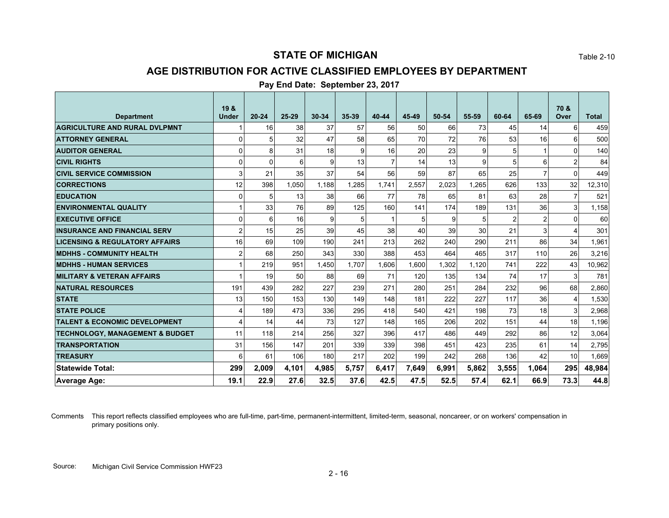### **AGE DISTRIBUTION FOR ACTIVE CLASSIFIED EMPLOYEES BY DEPARTMENT**

|                                            | 19 &         |           |       |           |       |                |       |       |       |       |                | 70 &           |              |
|--------------------------------------------|--------------|-----------|-------|-----------|-------|----------------|-------|-------|-------|-------|----------------|----------------|--------------|
| <b>Department</b>                          | <b>Under</b> | $20 - 24$ | 25-29 | $30 - 34$ | 35-39 | 40-44          | 45-49 | 50-54 | 55-59 | 60-64 | 65-69          | Over           | <b>Total</b> |
| <b>AGRICULTURE AND RURAL DVLPMNT</b>       |              | 16        | 38    | 37        | 57    | 56             | 50    | 66    | 73    | 45    | 14             | 6              | 459          |
| <b>ATTORNEY GENERAL</b>                    | 0            | 5         | 32    | 47        | 58    | 65             | 70    | 72    | 76    | 53    | 16             | 6              | 500          |
| <b>AUDITOR GENERAL</b>                     | 0            | 8         | 31    | 18        | 9     | 16             | 20    | 23    | 9     | 5     |                | $\Omega$       | 140          |
| <b>CIVIL RIGHTS</b>                        | 0            | $\Omega$  | 6     | 9         | 13    | $\overline{7}$ | 14    | 13    | 9     | 5     | 6              | $\overline{2}$ | 84           |
| <b>CIVIL SERVICE COMMISSION</b>            | 3            | 21        | 35    | 37        | 54    | 56             | 59    | 87    | 65    | 25    | 7              | $\Omega$       | 449          |
| <b>CORRECTIONS</b>                         | 12           | 398       | 1,050 | 1.188     | 1,285 | 1,741          | 2,557 | 2,023 | 1,265 | 626   | 133            | 32             | 12,310       |
| <b>EDUCATION</b>                           | 0            | 5         | 13    | 38        | 66    | 77             | 78    | 65    | 81    | 63    | 28             | 7              | 521          |
| <b>ENVIRONMENTAL QUALITY</b>               |              | 33        | 76    | 89        | 125   | 160            | 141   | 174   | 189   | 131   | 36             | 3              | 1,158        |
| <b>EXECUTIVE OFFICE</b>                    | 0            | 6         | 16    | 9         | 5     |                | 5     | 9     | 5     | 2     | $\overline{2}$ | $\Omega$       | 60           |
| <b>INSURANCE AND FINANCIAL SERV</b>        | 2            | 15        | 25    | 39        | 45    | 38             | 40    | 39    | 30    | 21    | 3              | 4              | 301          |
| <b>LICENSING &amp; REGULATORY AFFAIRS</b>  | 16           | 69        | 109   | 190       | 241   | 213            | 262   | 240   | 290   | 211   | 86             | 34             | 1,961        |
| <b>MDHHS - COMMUNITY HEALTH</b>            | 2            | 68        | 250   | 343       | 330   | 388            | 453   | 464   | 465   | 317   | 110            | 26             | 3,216        |
| <b>MDHHS - HUMAN SERVICES</b>              |              | 219       | 951   | 1,450     | 1,707 | 1,606          | 1.600 | 1.302 | 1.120 | 741   | 222            | 43             | 10,962       |
| <b>MILITARY &amp; VETERAN AFFAIRS</b>      |              | 19        | 50    | 88        | 69    | 71             | 120   | 135   | 134   | 74    | 17             | 3              | 781          |
| <b>NATURAL RESOURCES</b>                   | 191          | 439       | 282   | 227       | 239   | 271            | 280   | 251   | 284   | 232   | 96             | 68             | 2,860        |
| <b>STATE</b>                               | 13           | 150       | 153   | 130       | 149   | 148            | 181   | 222   | 227   | 117   | 36             | 4              | 1,530        |
| <b>STATE POLICE</b>                        | 4            | 189       | 473   | 336       | 295   | 418            | 540   | 421   | 198   | 73    | 18             | 3              | 2,968        |
| <b>TALENT &amp; ECONOMIC DEVELOPMENT</b>   | 4            | 14        | 44    | 73        | 127   | 148            | 165   | 206   | 202   | 151   | 44             | 18             | 1,196        |
| <b>TECHNOLOGY, MANAGEMENT &amp; BUDGET</b> | 11           | 118       | 214   | 256       | 327   | 396            | 417   | 486   | 449   | 292   | 86             | 12             | 3,064        |
| <b>TRANSPORTATION</b>                      | 31           | 156       | 147   | 201       | 339   | 339            | 398   | 451   | 423   | 235   | 61             | 14             | 2,795        |
| <b>TREASURY</b>                            | 6            | 61        | 106   | 180       | 217   | 202            | 199   | 242   | 268   | 136   | 42             | 10             | 1,669        |
| <b>Statewide Total:</b>                    | 299          | 2,009     | 4,101 | 4,985     | 5,757 | 6,417          | 7,649 | 6,991 | 5,862 | 3,555 | 1,064          | 295            | 48,984       |
| <b>Average Age:</b>                        | 19.1         | 22.9      | 27.6  | 32.5      | 37.6  | 42.5           | 47.5  | 52.5  | 57.4  | 62.1  | 66.9           | 73.3           | 44.8         |

#### **Pay End Date: September 23, 2017**

Comments This report reflects classified employees who are full-time, part-time, permanent-intermittent, limited-term, seasonal, noncareer, or on workers' compensation in primary positions only.

Table 2-10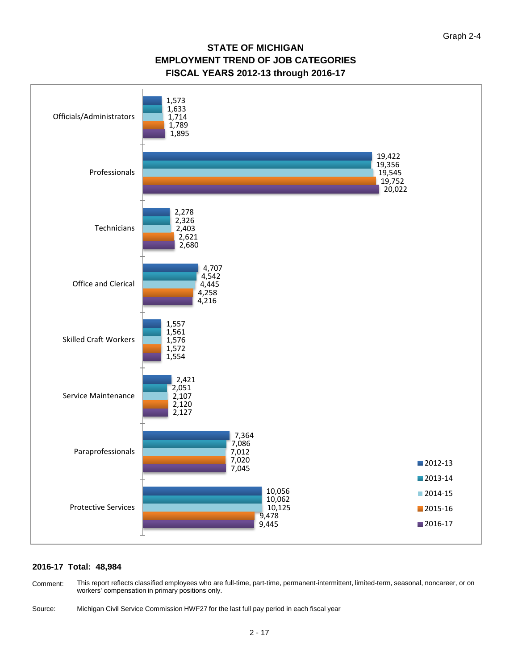## **STATE OF MICHIGAN EMPLOYMENT TREND OF JOB CATEGORIES FISCAL YEARS 2012-13 through 2016-17**



#### **2016-17 Total: 48,984**

This report reflects classified employees who are full-time, part-time, permanent-intermittent, limited-term, seasonal, noncareer, or on workers' compensation in primary positions only. Comment:

Source: Michigan Civil Service Commission HWF27 for the last full pay period in each fiscal year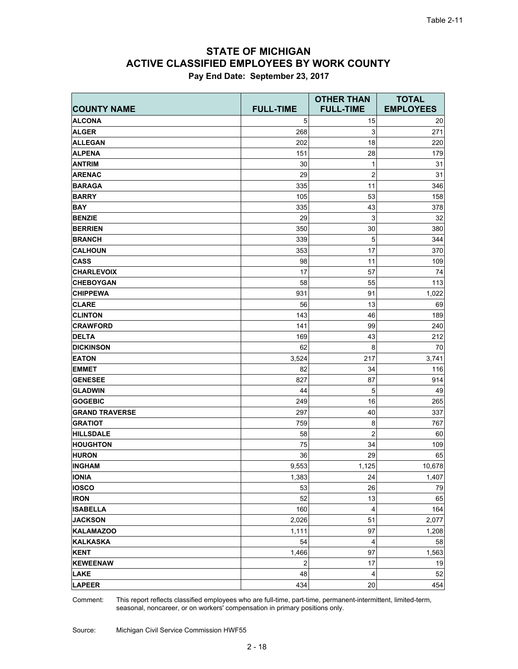# **ACTIVE CLASSIFIED EMPLOYEES BY WORK COUNTY STATE OF MICHIGAN**

|  |  | Pay End Date: September 23, 2017 |  |  |
|--|--|----------------------------------|--|--|
|--|--|----------------------------------|--|--|

|                       |                  | <b>OTHER THAN</b>       | <b>TOTAL</b>     |  |
|-----------------------|------------------|-------------------------|------------------|--|
| <b>COUNTY NAME</b>    | <b>FULL-TIME</b> | <b>FULL-TIME</b>        | <b>EMPLOYEES</b> |  |
| <b>ALCONA</b>         | 5                | 15                      | 20               |  |
| <b>ALGER</b>          | 268              | 3                       | 271              |  |
| <b>ALLEGAN</b>        | 202              | 18                      | 220              |  |
| <b>ALPENA</b>         | 151              | 28                      | 179              |  |
| <b>ANTRIM</b>         | 30               | 1                       | 31               |  |
| <b>ARENAC</b>         | 29               | $\overline{2}$          | 31               |  |
| <b>BARAGA</b>         | 335              | 11                      | 346              |  |
| <b>BARRY</b>          | 105              | 53                      | 158              |  |
| <b>BAY</b>            | 335              | 43                      | 378              |  |
| <b>BENZIE</b>         | 29               | 3                       | 32               |  |
| <b>BERRIEN</b>        | 350              | 30                      | 380              |  |
| <b>BRANCH</b>         | 339              | 5                       | 344              |  |
| <b>CALHOUN</b>        | 353              | 17                      | 370              |  |
| <b>CASS</b>           | 98               | 11                      | 109              |  |
| <b>CHARLEVOIX</b>     | 17               | 57                      | 74               |  |
| <b>CHEBOYGAN</b>      | 58               | 55                      | 113              |  |
| <b>CHIPPEWA</b>       | 931              | 91                      | 1,022            |  |
| <b>CLARE</b>          | 56               | 13                      | 69               |  |
| <b>CLINTON</b>        | 143              | 46                      | 189              |  |
| <b>CRAWFORD</b>       | 141              | 99                      | 240              |  |
| <b>DELTA</b>          | 169              | 43                      | 212              |  |
| <b>DICKINSON</b>      | 62               | 8                       | 70               |  |
| <b>EATON</b>          | 3,524            | 217                     | 3,741            |  |
| <b>EMMET</b>          | 82               | 34                      | 116              |  |
| <b>GENESEE</b>        | 827              | 87                      | 914              |  |
| <b>GLADWIN</b>        | 44               | 5                       | 49               |  |
| <b>GOGEBIC</b>        | 249              | 16                      | 265              |  |
| <b>GRAND TRAVERSE</b> | 297              | 40                      | 337              |  |
| <b>GRATIOT</b>        | 759              | 8                       | 767              |  |
| <b>HILLSDALE</b>      | 58               | $\overline{c}$          | 60               |  |
| <b>HOUGHTON</b>       | 75               | 34                      | 109              |  |
| <b>HURON</b>          | 36               | 29                      | 65               |  |
| <b>INGHAM</b>         | 9,553            | 1,125                   | 10,678           |  |
| <b>IONIA</b>          | 1,383            | 24                      | 1,407            |  |
| <b>IOSCO</b>          | 53               | 26                      | 79               |  |
| <b>IRON</b>           | 52               | 13                      | 65               |  |
| <b>ISABELLA</b>       | 160              | $\overline{\mathbf{4}}$ | 164              |  |
| <b>JACKSON</b>        | 2,026            | 51                      | 2,077            |  |
| <b>KALAMAZOO</b>      | 1,111            | 97                      | 1,208            |  |
| <b>KALKASKA</b>       | 54               | $\overline{\mathbf{4}}$ | 58               |  |
| <b>KENT</b>           | 1,466            | 97                      | 1,563            |  |
| <b>KEWEENAW</b>       | $\overline{2}$   | 17                      | 19               |  |
| <b>LAKE</b>           | 48               | $\overline{\mathbf{4}}$ | 52               |  |
| <b>LAPEER</b>         | 434              | 20                      | 454              |  |

This report reflects classified employees who are full-time, part-time, permanent-intermittent, limited-term, seasonal, noncareer, or on workers' compensation in primary positions only. Comment: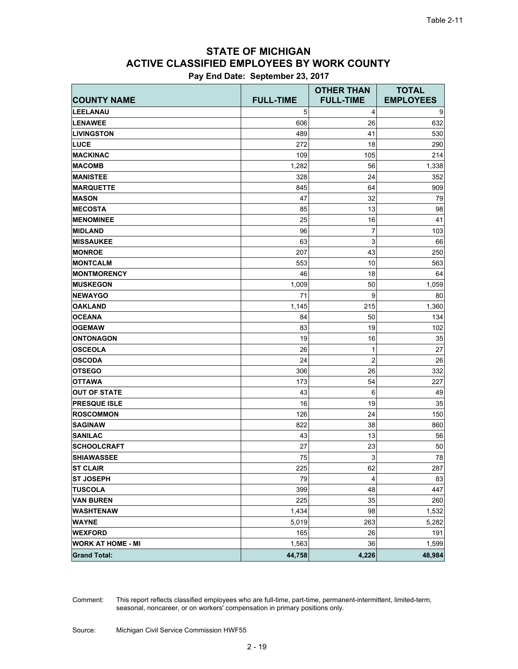# **ACTIVE CLASSIFIED EMPLOYEES BY WORK COUNTY STATE OF MICHIGAN**

**Pay End Date: September 23, 2017**

| <b>COUNTY NAME</b>       | <b>FULL-TIME</b> | <b>OTHER THAN</b><br><b>FULL-TIME</b> | <b>TOTAL</b><br><b>EMPLOYEES</b> |
|--------------------------|------------------|---------------------------------------|----------------------------------|
| <b>LEELANAU</b>          | 5                | 4                                     | 9                                |
| <b>LENAWEE</b>           | 606              | 26                                    | 632                              |
| <b>LIVINGSTON</b>        | 489              | 41                                    | 530                              |
| <b>LUCE</b>              | 272              | 18                                    | 290                              |
| <b>MACKINAC</b>          | 109              | 105                                   | 214                              |
| <b>MACOMB</b>            | 1,282            | 56                                    | 1,338                            |
| <b>MANISTEE</b>          | 328              | 24                                    | 352                              |
| <b>MARQUETTE</b>         | 845              | 64                                    | 909                              |
| <b>MASON</b>             | 47               | 32                                    | 79                               |
| <b>MECOSTA</b>           | 85               | 13                                    | 98                               |
| <b>MENOMINEE</b>         | 25               | 16                                    | 41                               |
| <b>MIDLAND</b>           | 96               | 7                                     | 103                              |
| <b>MISSAUKEE</b>         | 63               | 3                                     | 66                               |
| <b>MONROE</b>            | 207              | 43                                    | 250                              |
| <b>MONTCALM</b>          | 553              | 10                                    | 563                              |
| <b>MONTMORENCY</b>       | 46               | 18                                    | 64                               |
| <b>MUSKEGON</b>          | 1,009            | 50                                    | 1,059                            |
| <b>NEWAYGO</b>           | 71               | 9                                     | 80                               |
| <b>OAKLAND</b>           | 1,145            | 215                                   | 1,360                            |
| <b>OCEANA</b>            | 84               | 50                                    | 134                              |
| <b>OGEMAW</b>            | 83               | 19                                    | 102                              |
| <b>ONTONAGON</b>         | 19               | 16                                    | 35                               |
| <b>OSCEOLA</b>           | 26               | 1                                     | 27                               |
| <b>OSCODA</b>            | 24               | 2                                     | 26                               |
| <b>OTSEGO</b>            | 306              | 26                                    | 332                              |
| <b>OTTAWA</b>            | 173              | 54                                    | 227                              |
| <b>OUT OF STATE</b>      | 43               | 6                                     | 49                               |
| <b>PRESQUE ISLE</b>      | 16               | 19                                    | 35                               |
| <b>ROSCOMMON</b>         | 126              | 24                                    | 150                              |
| <b>SAGINAW</b>           | 822              | 38                                    | 860                              |
| <b>SANILAC</b>           | 43               | 13                                    | 56                               |
| <b>SCHOOLCRAFT</b>       | 27               | 23                                    | 50                               |
| <b>SHIAWASSEE</b>        | 75               | 3                                     | 78                               |
| <b>ST CLAIR</b>          | 225              | 62                                    | 287                              |
| <b>ST JOSEPH</b>         | 79               | 4                                     | 83                               |
| <b>TUSCOLA</b>           | 399              | 48                                    | 447                              |
| <b>VAN BUREN</b>         | 225              | 35                                    | 260                              |
| <b>WASHTENAW</b>         | 1,434            | 98                                    | 1,532                            |
| <b>WAYNE</b>             | 5,019            | 263                                   | 5,282                            |
| <b>WEXFORD</b>           | 165              | 26                                    | 191                              |
| <b>WORK AT HOME - MI</b> | 1,563            | 36                                    | 1,599                            |
| <b>Grand Total:</b>      | 44,758           | 4,226                                 | 48,984                           |

This report reflects classified employees who are full-time, part-time, permanent-intermittent, limited-term, seasonal, noncareer, or on workers' compensation in primary positions only. Comment: